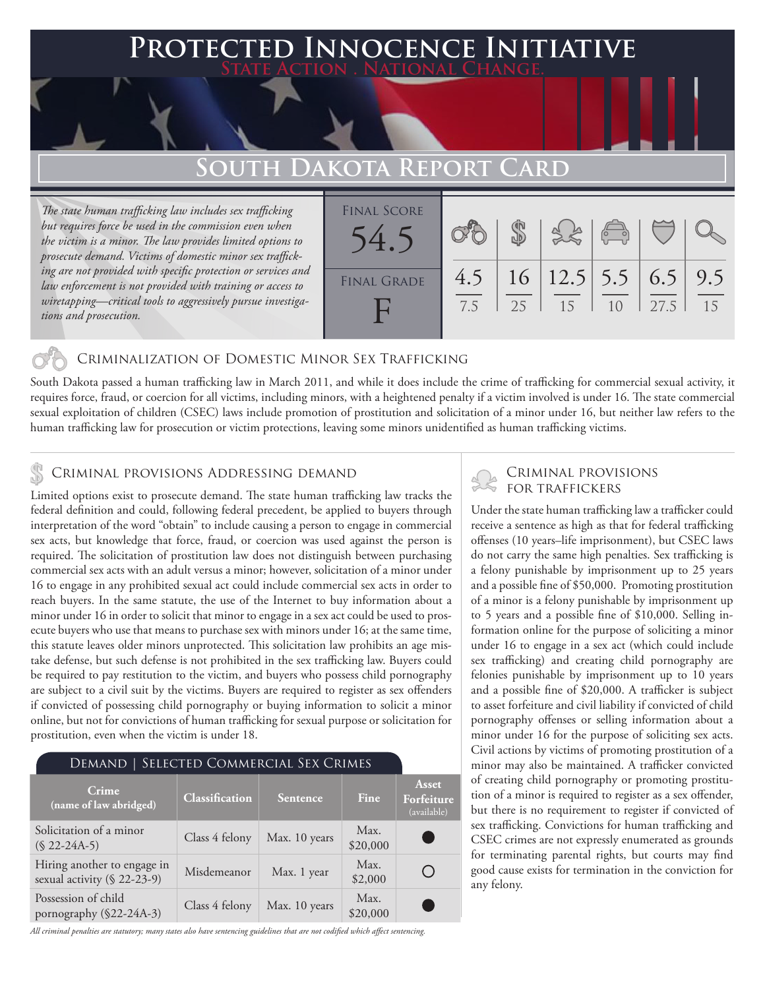### **PTED INNOCENCE INITIATIVE State Action . National Change.**

## **South Dakota Report Card**

*The state human trafficking law includes sex trafficking but requires force be used in the commission even when the victim is a minor. The law provides limited options to prosecute demand. Victims of domestic minor sex trafficking are not provided with specific protection or services and law enforcement is not provided with training or access to wiretapping—critical tools to aggressively pursue investigations and prosecution.*

| <b>FINAL SCORE</b> |            |    |                                  | $\begin{pmatrix} 0 & 0 \\ -1 & 0 \end{pmatrix}$ |      |           |
|--------------------|------------|----|----------------------------------|-------------------------------------------------|------|-----------|
| <b>FINAL GRADE</b> | 4.5<br>7.5 | 25 | $16$   12.5   5.5   6.5  <br>-15 | 10                                              | 27.5 | 9.5<br>15 |

### Criminalization of Domestic Minor Sex Trafficking

South Dakota passed a human trafficking law in March 2011, and while it does include the crime of trafficking for commercial sexual activity, it requires force, fraud, or coercion for all victims, including minors, with a heightened penalty if a victim involved is under 16. The state commercial sexual exploitation of children (CSEC) laws include promotion of prostitution and solicitation of a minor under 16, but neither law refers to the human trafficking law for prosecution or victim protections, leaving some minors unidentified as human trafficking victims.

### Criminal provisions Addressing demand

Limited options exist to prosecute demand. The state human trafficking law tracks the federal definition and could, following federal precedent, be applied to buyers through interpretation of the word "obtain" to include causing a person to engage in commercial sex acts, but knowledge that force, fraud, or coercion was used against the person is required. The solicitation of prostitution law does not distinguish between purchasing commercial sex acts with an adult versus a minor; however, solicitation of a minor under 16 to engage in any prohibited sexual act could include commercial sex acts in order to reach buyers. In the same statute, the use of the Internet to buy information about a minor under 16 in order to solicit that minor to engage in a sex act could be used to prosecute buyers who use that means to purchase sex with minors under 16; at the same time, this statute leaves older minors unprotected. This solicitation law prohibits an age mistake defense, but such defense is not prohibited in the sex trafficking law. Buyers could be required to pay restitution to the victim, and buyers who possess child pornography are subject to a civil suit by the victims. Buyers are required to register as sex offenders if convicted of possessing child pornography or buying information to solicit a minor online, but not for convictions of human trafficking for sexual purpose or solicitation for prostitution, even when the victim is under 18.

| DEMAND   SELECTED COMMERCIAL SEX CRIMES                    |                |                 |                  |                                           |  |  |  |
|------------------------------------------------------------|----------------|-----------------|------------------|-------------------------------------------|--|--|--|
| Crime<br>(name of law abridged)                            | Classification | <b>Sentence</b> | Fine             | <b>Asset</b><br>Forfeiture<br>(available) |  |  |  |
| Solicitation of a minor<br>$(S 22-24A-5)$                  | Class 4 felony | Max. 10 years   | Max.<br>\$20,000 |                                           |  |  |  |
| Hiring another to engage in<br>sexual activity (§ 22-23-9) | Misdemeanor    | Max. 1 year     | Max.<br>\$2,000  |                                           |  |  |  |
| Possession of child<br>pornography (§22-24A-3)             | Class 4 felony | Max. 10 years   | Max.<br>\$20,000 |                                           |  |  |  |

*All criminal penalties are statutory; many states also have sentencing guidelines that are not codified which affect sentencing.* 

# Criminal provisions

Under the state human trafficking law a trafficker could receive a sentence as high as that for federal trafficking offenses (10 years–life imprisonment), but CSEC laws do not carry the same high penalties. Sex trafficking is a felony punishable by imprisonment up to 25 years and a possible fine of \$50,000. Promoting prostitution of a minor is a felony punishable by imprisonment up to 5 years and a possible fine of \$10,000. Selling information online for the purpose of soliciting a minor under 16 to engage in a sex act (which could include sex trafficking) and creating child pornography are felonies punishable by imprisonment up to 10 years and a possible fine of \$20,000. A trafficker is subject to asset forfeiture and civil liability if convicted of child pornography offenses or selling information about a minor under 16 for the purpose of soliciting sex acts. Civil actions by victims of promoting prostitution of a minor may also be maintained. A trafficker convicted of creating child pornography or promoting prostitution of a minor is required to register as a sex offender, but there is no requirement to register if convicted of sex trafficking. Convictions for human trafficking and CSEC crimes are not expressly enumerated as grounds for terminating parental rights, but courts may find good cause exists for termination in the conviction for any felony.